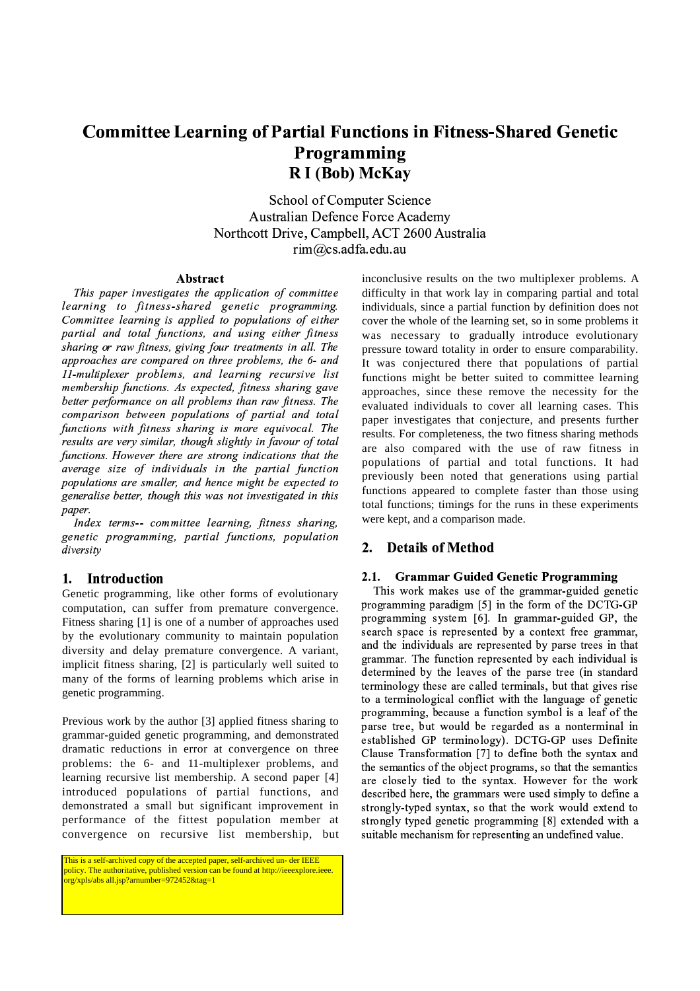# **Committee Learning of Partial Functions in Fitness-Shared Genetic** Programming R I (Bob) McKay

School of Computer Science **Australian Defence Force Academy** Northcott Drive, Campbell, ACT 2600 Australia  $rim@cs.addfa.edu.au$ 

## Abstract

This paper investigates the application of committee learning to fitness-shared genetic programming. Committee learning is applied to populations of either partial and total functions, and using either fitness sharing or raw fitness, giving four treatments in all. The approaches are compared on three problems, the 6- and 11-multiplexer problems, and learning recursive list membership functions. As expected, fitness sharing gave better performance on all problems than raw fitness. The comparison between populations of partial and total functions with fitness sharing is more equivocal. The results are very similar, though slightly in favour of total functions. However there are strong indications that the average size of individuals in the partial function populations are smaller, and hence might be expected to generalise better, though this was not investigated in this paper.

Index terms-- committee learning, fitness sharing, genetic programming, partial functions, population diversity

### 1. Introduction

Genetic programming, like other forms of evolutionary computation, can suffer from premature convergence. Fitness sharing [1] is one of a number of approaches used by the evolutionary community to maintain population diversity and delay premature convergence. A variant, implicit fitness sharing, [2] is particularly well suited to many of the forms of learning problems which arise in genetic programming.

Previous work by the author [3] applied fitness sharing to grammar-guided genetic programming, and demonstrated dramatic reductions in error at convergence on three problems: the 6- and 11-multiplexer problems, and learning recursive list membership. A second paper [4] introduced populations of partial functions, and demonstrated a small but significant improvement in performance of the fittest population member at convergence on recursive list membership, but

This is a self-archived copy of the accepted paper, self-archived un- der IEEE policy. The authoritative, published version can be found at http://ieeexplore.ieee. org/xpls/abs all.jsp?arnumber=972452&tag=1

inconclusive results on the two multiplexer problems. A difficulty in that work lay in comparing partial and total individuals, since a partial function by definition does not cover the whole of the learning set, so in some problems it was necessary to gradually introduce evolutionary pressure toward totality in order to ensure comparability. It was conjectured there that populations of partial functions might be better suited to committee learning approaches, since these remove the necessity for the evaluated individuals to cover all learning cases. This paper investigates that conjecture, and presents further results. For completeness, the two fitness sharing methods are also compared with the use of raw fitness in populations of partial and total functions. It had previously been noted that generations using partial functions appeared to complete faster than those using total functions; timings for the runs in these experiments were kept, and a comparison made.

# 2. Details of Method

#### $2.1.$ **Grammar Guided Genetic Programming**

This work makes use of the grammar-guided genetic programming paradigm [5] in the form of the DCTG-GP programming system [6]. In grammar-guided GP, the search space is represented by a context free grammar, and the individuals are represented by parse trees in that grammar. The function represented by each individual is determined by the leaves of the parse tree (in standard terminology these are called terminals, but that gives rise to a terminological conflict with the language of genetic programming, because a function symbol is a leaf of the parse tree, but would be regarded as a nonterminal in established GP terminology). DCTG-GP uses Definite Clause Transformation [7] to define both the syntax and the semantics of the object programs, so that the semantics are closely tied to the syntax. However for the work described here, the grammars were used simply to define a strongly-typed syntax, so that the work would extend to strongly typed genetic programming [8] extended with a suitable mechanism for representing an undefined value.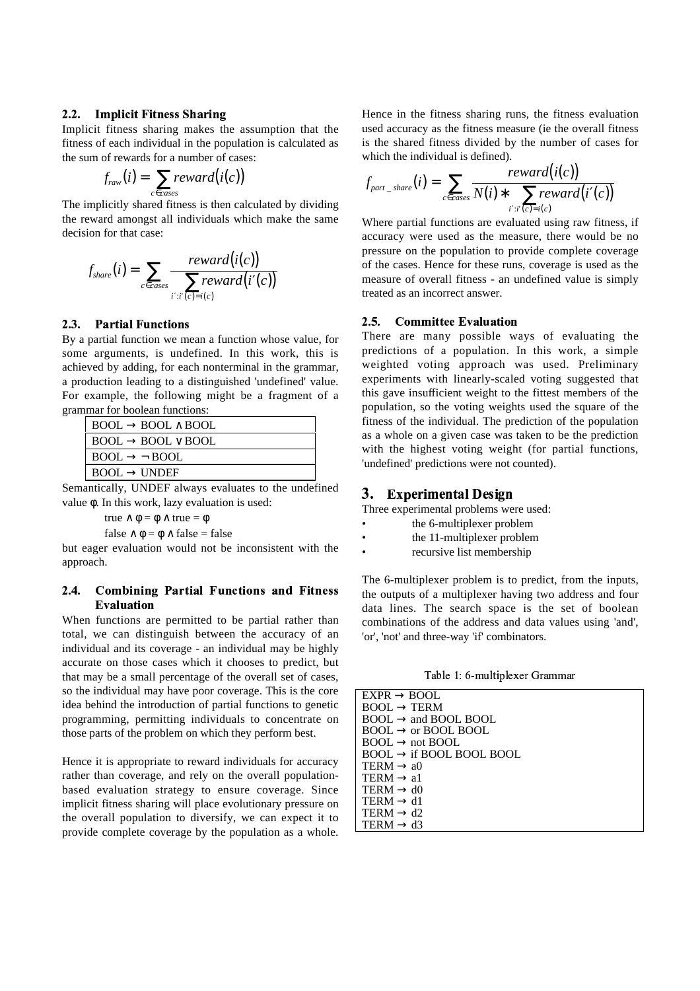### ·¸¹IF ºFE <sup>E</sup> »¼HG

Implicit fitness sharing makes the assumption that the fitness of each individual in the population is calculated as the sum of rewards for a number of cases:

$$
f_{raw}(i) = \sum_{c \in cases} reward(i(c))
$$

The implicitly shared fitness is then calculated by dividing the reward amongst all individuals which make the same decision for that case:

$$
f_{share}(i) = \sum_{c \in cases} \frac{reward(i(c))}{\sum_{i': i'(c) = i(c)} reward(i'(c))}
$$

### $\blacksquare$   $\blacksquare$   $\blacksquare$   $\blacksquare$   $\blacksquare$   $\blacksquare$   $\blacksquare$   $\blacksquare$   $\blacksquare$   $\blacksquare$   $\blacksquare$   $\blacksquare$   $\blacksquare$   $\blacksquare$   $\blacksquare$   $\blacksquare$   $\blacksquare$   $\blacksquare$   $\blacksquare$   $\blacksquare$   $\blacksquare$   $\blacksquare$   $\blacksquare$   $\blacksquare$   $\blacksquare$   $\blacksquare$   $\blacksquare$   $\blacksquare$   $\blacksquare$   $\blacksquare$   $\blacksquare$   $\blacks$

By a partial function we mean a function whose value, for some arguments, is undefined. In this work, this is achieved by adding, for each nonterminal in the grammar, a production leading to a distinguished 'undefined' value. For example, the following might be a fragment of a grammar for boolean functions:

| $\vdash$ BOOL $\rightarrow$ BOOL $\land$ BOOL        |
|------------------------------------------------------|
| $\vdash$ BOOL $\rightarrow$ BOOL $\lor$ BOOL         |
| $\mathsf{I}$ BOOL $\rightarrow$ $\mathsf{\neg}$ BOOL |
| $\mathsf I\,\,\mathsf{BOOL}\to\mathsf{UNDEF}$        |

Semantically, UNDEF always evaluates to the undefined value φ. In this work, lazy evaluation is used:

true  $\land$   $\phi$  =  $\phi$   $\land$  true =  $\phi$ 

false  $\wedge \phi = \phi \wedge false = false$ 

but eager evaluation would not be inconsistent with the approach.

### $2,4.$ Combining Partial Functions and Fitness Evaluation

When functions are permitted to be partial rather than total, we can distinguish between the accuracy of an individual and its coverage - an individual may be highly accurate on those cases which it chooses to predict, but that may be a small percentage of the overall set of cases, so the individual may have poor coverage. This is the core idea behind the introduction of partial functions to genetic programming, permitting individuals to concentrate on those parts of the problem on which they perform best.

Hence it is appropriate to reward individuals for accuracy rather than coverage, and rely on the overall populationbased evaluation strategy to ensure coverage. Since implicit fitness sharing will place evolutionary pressure on the overall population to diversify, we can expect it to provide complete coverage by the population as a whole.

Hence in the fitness sharing runs, the fitness evaluation used accuracy as the fitness measure (ie the overall fitness is the shared fitness divided by the number of cases for which the individual is defined).

$$
f_{\textit{part}\_\textit{share}}(i) = \sum_{c \in \textit{cases}} \frac{\textit{reward}(i(c))}{N(i) * \sum_{i': i'(c) = i(c)} \textit{reward}(i'(c))}
$$

Where partial functions are evaluated using raw fitness, if accuracy were used as the measure, there would be no pressure on the population to provide complete coverage of the cases. Hence for these runs, coverage is used as the measure of overall fitness - an undefined value is simply treated as an incorrect answer.

#### $2.5.$ **Committee Evaluation**

There are many possible ways of evaluating the predictions of a population. In this work, a simple weighted voting approach was used. Preliminary experiments with linearly-scaled voting suggested that this gave insufficient weight to the fittest members of the population, so the voting weights used the square of the fitness of the individual. The prediction of the population as a whole on a given case was taken to be the prediction with the highest voting weight (for partial functions, 'undefined' predictions were not counted).

# Ã <sup>Ä</sup> ÅÆÇyqvÈyopz{ xy|vÉo

Three experimental problems were used:

- the 6-multiplexer problem
- the 11-multiplexer problem
- recursive list membership

The 6-multiplexer problem is to predict, from the inputs, the outputs of a multiplexer having two address and four data lines. The search space is the set of boolean combinations of the address and data values using 'and', 'or', 'not' and three-way 'if' combinators.

 $-$  11  $\leq$  11  $\leq$   $-$ 

| $EXPR \rightarrow BOOL$              |
|--------------------------------------|
| $BOOL \rightarrow TERM$              |
| $BOOL \rightarrow$ and BOOL BOOL     |
| $BOOL \rightarrow$ or BOOL BOOL      |
| $BOOL \rightarrow not BOOL$          |
| $BOOL \rightarrow$ if BOOL BOOL BOOL |
| TERM $\rightarrow$ a0                |
| TERM $\rightarrow$ a1                |
| TERM $\rightarrow$ d0                |
| $TERM \rightarrow d1$                |
| TERM $\rightarrow$ d2                |
| TERM $\rightarrow$ d3                |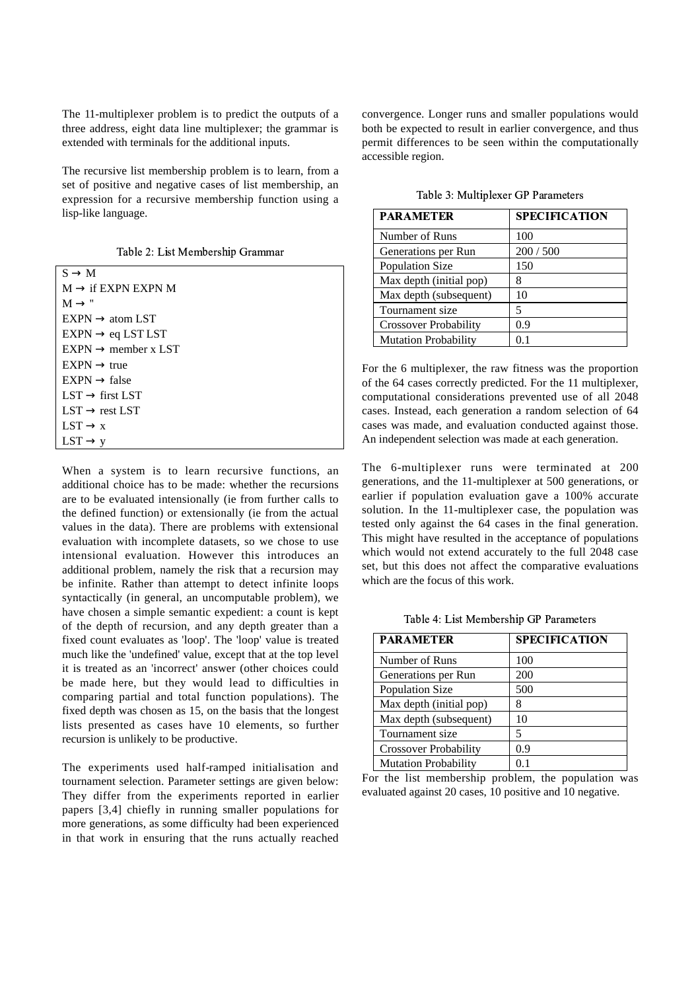The 11-multiplexer problem is to predict the outputs of a three address, eight data line multiplexer; the grammar is extended with terminals for the additional inputs.

The recursive list membership problem is to learn, from a set of positive and negative cases of list membership, an expression for a recursive membership function using a lisp-like language.

| $S \rightarrow M$               |
|---------------------------------|
| $M \rightarrow$ if EXPN EXPN M  |
| $M \rightarrow$ "               |
| $EXPN \rightarrow atom LST$     |
| $EXPN \rightarrow eq$ LST LST   |
| $EXPN \rightarrow$ member x LST |
| $EXPN \rightarrow true$         |
| $EXPN \rightarrow false$        |
| $LST \rightarrow$ first LST     |
| $LST \rightarrow rest LST$      |
| $LST \rightarrow x$             |
| $LST \rightarrow v$             |

When a system is to learn recursive functions, an additional choice has to be made: whether the recursions are to be evaluated intensionally (ie from further calls to the defined function) or extensionally (ie from the actual values in the data). There are problems with extensional evaluation with incomplete datasets, so we chose to use intensional evaluation. However this introduces an additional problem, namely the risk that a recursion may be infinite. Rather than attempt to detect infinite loops syntactically (in general, an uncomputable problem), we have chosen a simple semantic expedient: a count is kept of the depth of recursion, and any depth greater than a fixed count evaluates as 'loop'. The 'loop' value is treated much like the 'undefined' value, except that at the top level it is treated as an 'incorrect' answer (other choices could be made here, but they would lead to difficulties in comparing partial and total function populations). The fixed depth was chosen as 15, on the basis that the longest lists presented as cases have 10 elements, so further recursion is unlikely to be productive.

The experiments used half-ramped initialisation and tournament selection. Parameter settings are given below: They differ from the experiments reported in earlier papers [3,4] chiefly in running smaller populations for more generations, as some difficulty had been experienced in that work in ensuring that the runs actually reached

convergence. Longer runs and smaller populations would both be expected to result in earlier convergence, and thus permit differences to be seen within the computationally accessible region.

| <b>PARAMETER</b>             | <b>SPECIFICATION</b> |
|------------------------------|----------------------|
| Number of Runs               | 100                  |
| Generations per Run          | 200/500              |
| <b>Population Size</b>       | 150                  |
| Max depth (initial pop)      | 8                    |
| Max depth (subsequent)       | 10                   |
| Tournament size              |                      |
| <b>Crossover Probability</b> | 0.9                  |
| <b>Mutation Probability</b>  |                      |

 $\blacksquare$  11  $\land$   $\blacksquare$   $\blacksquare$   $\blacksquare$   $\blacksquare$   $\blacksquare$   $\blacksquare$   $\blacksquare$   $\blacksquare$   $\blacksquare$   $\blacksquare$   $\blacksquare$   $\blacksquare$   $\blacksquare$   $\blacksquare$   $\blacksquare$   $\blacksquare$   $\blacksquare$   $\blacksquare$   $\blacksquare$   $\blacksquare$   $\blacksquare$   $\blacksquare$   $\blacksquare$   $\blacksquare$   $\blacksquare$   $\blacksquare$   $\blacksquare$   $\blacksquare$   $\blacksquare$   $\bl$ 

For the 6 multiplexer, the raw fitness was the proportion of the 64 cases correctly predicted. For the 11 multiplexer, computational considerations prevented use of all 2048 cases. Instead, each generation a random selection of 64 cases was made, and evaluation conducted against those. An independent selection was made at each generation.

The 6-multiplexer runs were terminated at 200 generations, and the 11-multiplexer at 500 generations, or earlier if population evaluation gave a 100% accurate solution. In the 11-multiplexer case, the population was tested only against the 64 cases in the final generation. This might have resulted in the acceptance of populations which would not extend accurately to the full 2048 case set, but this does not affect the comparative evaluations which are the focus of this work.

 $\blacksquare$  11  $\blacksquare$   $\blacksquare$   $\blacksquare$   $\blacksquare$   $\blacksquare$   $\blacksquare$   $\blacksquare$   $\blacksquare$   $\blacksquare$   $\blacksquare$   $\blacksquare$   $\blacksquare$   $\blacksquare$   $\blacksquare$   $\blacksquare$   $\blacksquare$   $\blacksquare$   $\blacksquare$   $\blacksquare$   $\blacksquare$   $\blacksquare$   $\blacksquare$   $\blacksquare$   $\blacksquare$   $\blacksquare$   $\blacksquare$   $\blacksquare$   $\blacksquare$   $\blacksquare$   $\blacksquare$ 

| <b>PARAMETER</b>             | <b>SPECIFICATION</b> |
|------------------------------|----------------------|
| Number of Runs               | 100                  |
| Generations per Run          | 200                  |
| <b>Population Size</b>       | 500                  |
| Max depth (initial pop)      |                      |
| Max depth (subsequent)       | 10                   |
| Tournament size              | 5                    |
| <b>Crossover Probability</b> | 0.9                  |
| <b>Mutation Probability</b>  |                      |

For the list membership problem, the population was evaluated against 20 cases, 10 positive and 10 negative.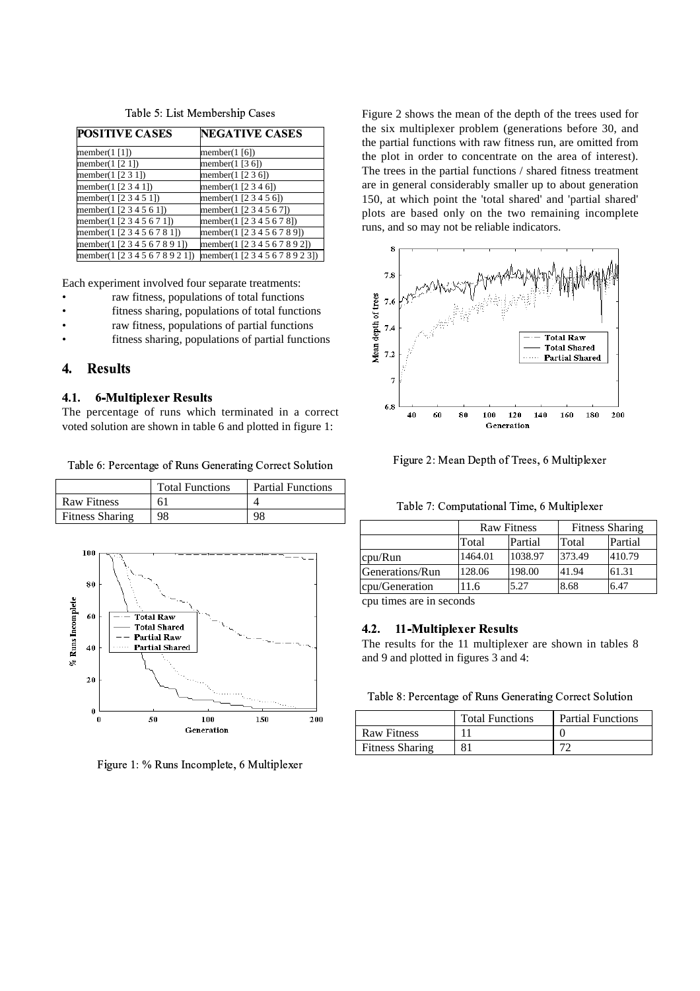| <b>POSITIVE CASES</b>           | <b>NEGATIVE CASES</b>           |  |  |  |
|---------------------------------|---------------------------------|--|--|--|
| member( $1$ [1])                | member( $1$ [6])                |  |  |  |
| member $(1 \, 2 \, 1)$          | member( $1$ [3 6])              |  |  |  |
| member( $1$ [2 3 1])            | member(1 $[236]$ )              |  |  |  |
| member(1 [2 3 4 1])             | member(1 $[2 3 4 6]$ )          |  |  |  |
| member(1 [2 3 4 5 1])           | member(1 [2 3 4 5 6])           |  |  |  |
| member(1 [2 3 4 5 6 1])         | member(1 [2 3 4 5 6 7])         |  |  |  |
| member(1[2 3 4 5 6 7 1])        | member(1 [2 3 4 5 6 7 8])       |  |  |  |
| member(1 [2 3 4 5 6 7 8 1])     | member(1 [2 3 4 5 6 7 8 9])     |  |  |  |
| member(1 [2 3 4 5 6 7 8 9 1])   | member(1 [2 3 4 5 6 7 8 9 2])   |  |  |  |
| member(1 [2 3 4 5 6 7 8 9 2 1]) | member(1 [2 3 4 5 6 7 8 9 2 3]) |  |  |  |

Table 5: List Membership Cases

Each experiment involved four separate treatments:

- raw fitness, populations of total functions
- fitness sharing, populations of total functions
- raw fitness, populations of partial functions
- fitness sharing, populations of partial functions

### $\overline{\mathbf{A}}$ . **Results**

### $4.1.$ **6-Multiplexer Results**

The percentage of runs which terminated in a correct voted solution are shown in table 6 and plotted in figure 1:

Table 6: Percentage of Runs Generating Correct Solution

|                        | <b>Total Functions</b> | <b>Partial Functions</b> |
|------------------------|------------------------|--------------------------|
| <b>Raw Fitness</b>     | 61                     |                          |
| <b>Fitness Sharing</b> | 98                     | ۹۶                       |



Figure 1: % Runs Incomplete, 6 Multiplexer

Figure 2 shows the mean of the depth of the trees used for the six multiplexer problem (generations before 30, and the partial functions with raw fitness run, are omitted from the plot in order to concentrate on the area of interest). The trees in the partial functions / shared fitness treatment are in general considerably smaller up to about generation 150, at which point the 'total shared' and 'partial shared' plots are based only on the two remaining incomplete runs, and so may not be reliable indicators.



Figure 2: Mean Depth of Trees, 6 Multiplexer

Table 7: Computational Time, 6 Multiplexer

|                 | <b>Raw Fitness</b> |         | <b>Fitness Sharing</b> |         |  |
|-----------------|--------------------|---------|------------------------|---------|--|
|                 | Total              | Partial | Total                  | Partial |  |
| cpu/Run         | 1464.01            | 1038.97 | 373.49                 | 410.79  |  |
| Generations/Run | 128.06             | 198.00  | 41.94                  | 61.31   |  |
| cpu/Generation  | 11.6               | 5.27    | 8.68                   | 6.47    |  |

cpu times are in seconds

#### **11-Multiplexer Results**  $4.2.$

The results for the 11 multiplexer are shown in tables 8 and 9 and plotted in figures 3 and 4:

Table 8: Percentage of Runs Generating Correct Solution

|                        | <b>Total Functions</b> | <b>Partial Functions</b> |
|------------------------|------------------------|--------------------------|
| <b>Raw Fitness</b>     |                        |                          |
| <b>Fitness Sharing</b> |                        |                          |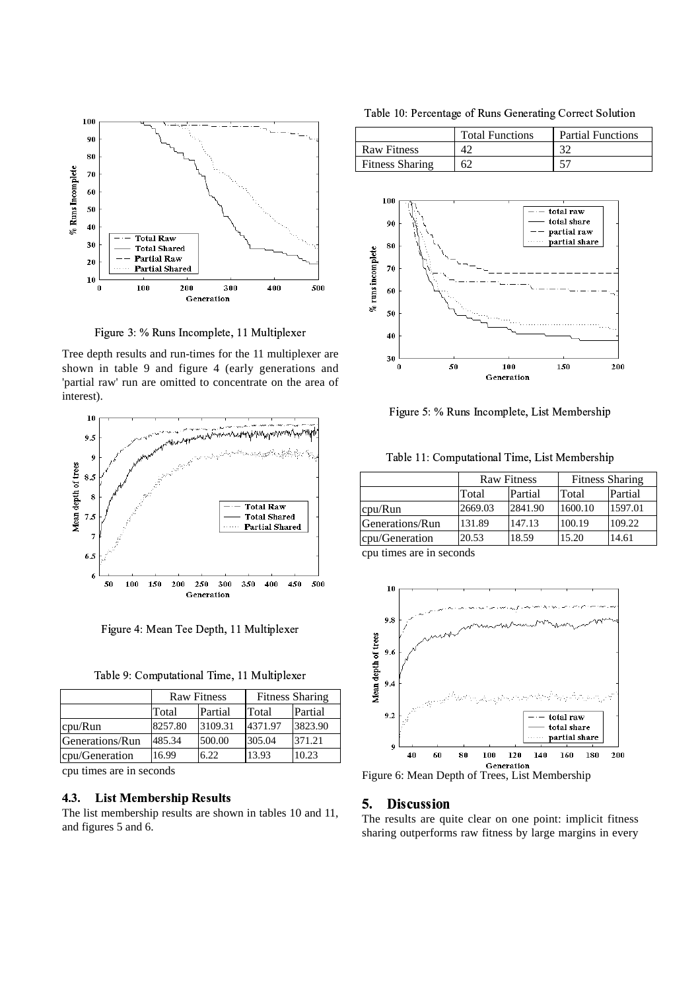

Figure 3: % Runs Incomplete, 11 Multiplexer

Tree depth results and run-times for the 11 multiplexer are shown in table 9 and figure 4 (early generations and 'partial raw' run are omitted to concentrate on the area of interest).



Figure 4: Mean Tee Depth, 11 Multiplexer

| Table 9: Computational Time, 11 Multiplexer |  |  |
|---------------------------------------------|--|--|
|                                             |  |  |

|                 | <b>Raw Fitness</b> |         | <b>Fitness Sharing</b> |         |  |
|-----------------|--------------------|---------|------------------------|---------|--|
|                 | Total              | Partial | Total                  | Partial |  |
| cpu/Run         | 8257.80            | 3109.31 | 4371.97                | 3823.90 |  |
| Generations/Run | 485.34             | 500.00  | 305.04                 | 371.21  |  |
| cpu/Generation  | 16.99              | 6.22    | 13.93                  | 10.23   |  |

cpu times are in seconds

#### **List Membership Results**  $4.3.$

The list membership results are shown in tables 10 and 11, and figures 5 and 6.

Table 10: Percentage of Runs Generating Correct Solution

|                        | <b>Total Functions</b> | <b>Partial Functions</b> |  |
|------------------------|------------------------|--------------------------|--|
| <b>Raw Fitness</b>     |                        | າ^                       |  |
| <b>Fitness Sharing</b> | 62                     |                          |  |



Figure 5: % Runs Incomplete, List Membership

Table 11: Computational Time, List Membership

|                 | <b>Raw Fitness</b> |         | <b>Fitness Sharing</b> |         |
|-----------------|--------------------|---------|------------------------|---------|
|                 | Total              | Partial | Total                  | Partial |
| cpu/Run         | 2669.03            | 2841.90 | 1600.10                | 1597.01 |
| Generations/Run | 131.89             | 147.13  | 100.19                 | 109.22  |
| cpu/Generation  | 20.53              | 18.59   | 15.20                  | 14.61   |

cpu times are in seconds



Figure 6: Mean Depth of Trees, List Membership

#### 5. **Discussion**

The results are quite clear on one point: implicit fitness sharing outperforms raw fitness by large margins in every